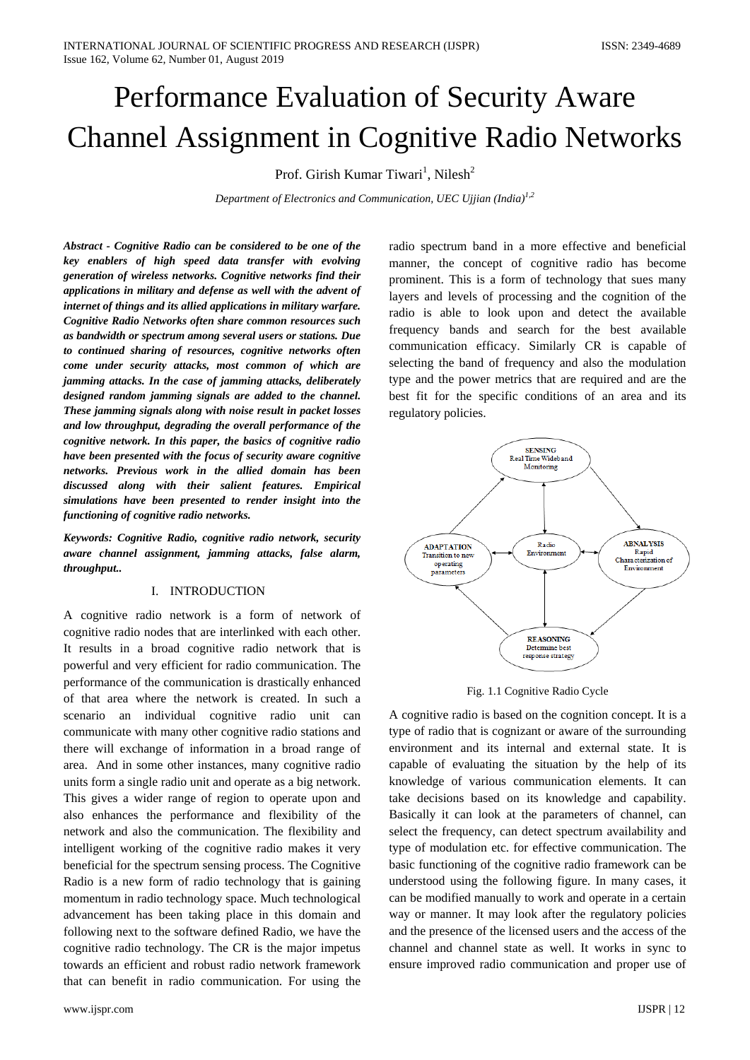# Performance Evaluation of Security Aware Channel Assignment in Cognitive Radio Networks

Prof. Girish Kumar Tiwari<sup>1</sup>, Nilesh<sup>2</sup>

*Department of Electronics and Communication, UEC Ujjian (India)1,2*

*Abstract - Cognitive Radio can be considered to be one of the key enablers of high speed data transfer with evolving generation of wireless networks. Cognitive networks find their applications in military and defense as well with the advent of internet of things and its allied applications in military warfare. Cognitive Radio Networks often share common resources such as bandwidth or spectrum among several users or stations. Due to continued sharing of resources, cognitive networks often come under security attacks, most common of which are jamming attacks. In the case of jamming attacks, deliberately designed random jamming signals are added to the channel. These jamming signals along with noise result in packet losses and low throughput, degrading the overall performance of the cognitive network. In this paper, the basics of cognitive radio have been presented with the focus of security aware cognitive networks. Previous work in the allied domain has been discussed along with their salient features. Empirical simulations have been presented to render insight into the functioning of cognitive radio networks.*

*Keywords: Cognitive Radio, cognitive radio network, security aware channel assignment, jamming attacks, false alarm, throughput..*

## I. INTRODUCTION

A cognitive radio network is a form of network of cognitive radio nodes that are interlinked with each other. It results in a broad cognitive radio network that is powerful and very efficient for radio communication. The performance of the communication is drastically enhanced of that area where the network is created. In such a scenario an individual cognitive radio unit can communicate with many other cognitive radio stations and there will exchange of information in a broad range of area. And in some other instances, many cognitive radio units form a single radio unit and operate as a big network. This gives a wider range of region to operate upon and also enhances the performance and flexibility of the network and also the communication. The flexibility and intelligent working of the cognitive radio makes it very beneficial for the spectrum sensing process. The Cognitive Radio is a new form of radio technology that is gaining momentum in radio technology space. Much technological advancement has been taking place in this domain and following next to the software defined Radio, we have the cognitive radio technology. The CR is the major impetus towards an efficient and robust radio network framework that can benefit in radio communication. For using the

www.ijspr.com IJSPR | 12

radio spectrum band in a more effective and beneficial manner, the concept of cognitive radio has become prominent. This is a form of technology that sues many layers and levels of processing and the cognition of the radio is able to look upon and detect the available frequency bands and search for the best available communication efficacy. Similarly CR is capable of selecting the band of frequency and also the modulation type and the power metrics that are required and are the best fit for the specific conditions of an area and its regulatory policies.



Fig. 1.1 Cognitive Radio Cycle

A cognitive radio is based on the cognition concept. It is a type of radio that is cognizant or aware of the surrounding environment and its internal and external state. It is capable of evaluating the situation by the help of its knowledge of various communication elements. It can take decisions based on its knowledge and capability. Basically it can look at the parameters of channel, can select the frequency, can detect spectrum availability and type of modulation etc. for effective communication. The basic functioning of the cognitive radio framework can be understood using the following figure. In many cases, it can be modified manually to work and operate in a certain way or manner. It may look after the regulatory policies and the presence of the licensed users and the access of the channel and channel state as well. It works in sync to ensure improved radio communication and proper use of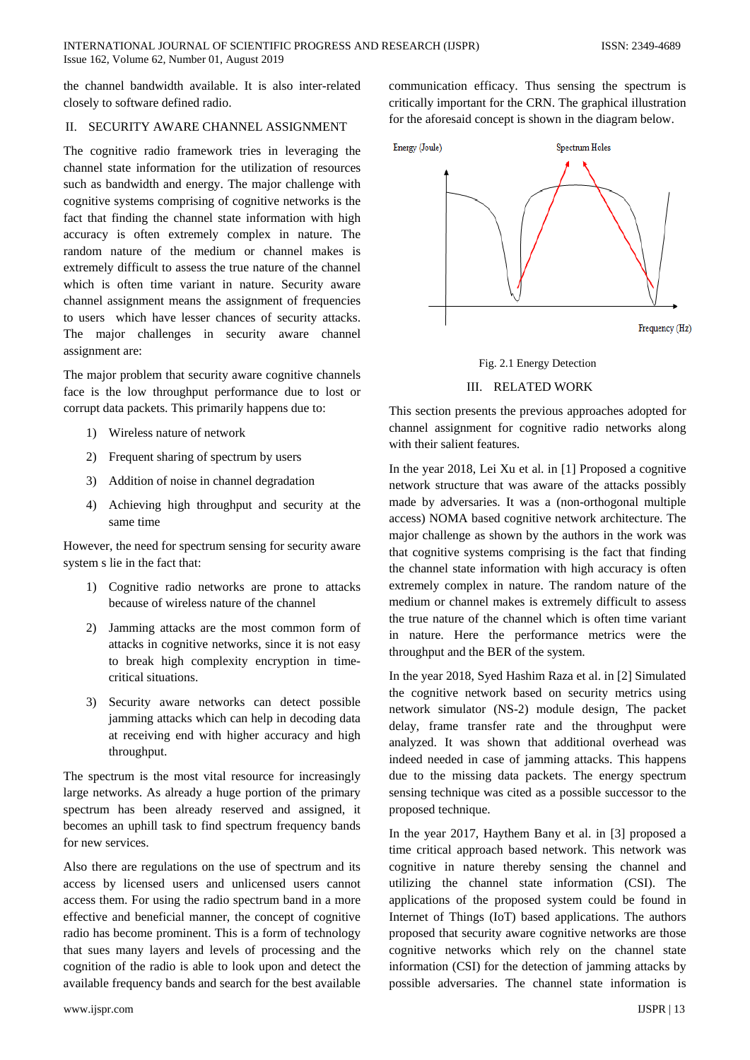the channel bandwidth available. It is also inter-related closely to software defined radio.

### II. SECURITY AWARE CHANNEL ASSIGNMENT

The cognitive radio framework tries in leveraging the channel state information for the utilization of resources such as bandwidth and energy. The major challenge with cognitive systems comprising of cognitive networks is the fact that finding the channel state information with high accuracy is often extremely complex in nature. The random nature of the medium or channel makes is extremely difficult to assess the true nature of the channel which is often time variant in nature. Security aware channel assignment means the assignment of frequencies to users which have lesser chances of security attacks. The major challenges in security aware channel assignment are:

The major problem that security aware cognitive channels face is the low throughput performance due to lost or corrupt data packets. This primarily happens due to:

- 1) Wireless nature of network
- 2) Frequent sharing of spectrum by users
- 3) Addition of noise in channel degradation
- 4) Achieving high throughput and security at the same time

However, the need for spectrum sensing for security aware system s lie in the fact that:

- 1) Cognitive radio networks are prone to attacks because of wireless nature of the channel
- 2) Jamming attacks are the most common form of attacks in cognitive networks, since it is not easy to break high complexity encryption in timecritical situations.
- 3) Security aware networks can detect possible jamming attacks which can help in decoding data at receiving end with higher accuracy and high throughput.

The spectrum is the most vital resource for increasingly large networks. As already a huge portion of the primary spectrum has been already reserved and assigned, it becomes an uphill task to find spectrum frequency bands for new services.

Also there are regulations on the use of spectrum and its access by licensed users and unlicensed users cannot access them. For using the radio spectrum band in a more effective and beneficial manner, the concept of cognitive radio has become prominent. This is a form of technology that sues many layers and levels of processing and the cognition of the radio is able to look upon and detect the available frequency bands and search for the best available

communication efficacy. Thus sensing the spectrum is critically important for the CRN. The graphical illustration for the aforesaid concept is shown in the diagram below.



Fig. 2.1 Energy Detection

## III. RELATED WORK

This section presents the previous approaches adopted for channel assignment for cognitive radio networks along with their salient features.

In the year 2018, Lei Xu et al. in [1] Proposed a cognitive network structure that was aware of the attacks possibly made by adversaries. It was a (non-orthogonal multiple access) NOMA based cognitive network architecture. The major challenge as shown by the authors in the work was that cognitive systems comprising is the fact that finding the channel state information with high accuracy is often extremely complex in nature. The random nature of the medium or channel makes is extremely difficult to assess the true nature of the channel which is often time variant in nature. Here the performance metrics were the throughput and the BER of the system.

In the year 2018, Syed Hashim Raza et al. in [2] Simulated the cognitive network based on security metrics using network simulator (NS-2) module design, The packet delay, frame transfer rate and the throughput were analyzed. It was shown that additional overhead was indeed needed in case of jamming attacks. This happens due to the missing data packets. The energy spectrum sensing technique was cited as a possible successor to the proposed technique.

In the year 2017, Haythem Bany et al. in [3] proposed a time critical approach based network. This network was cognitive in nature thereby sensing the channel and utilizing the channel state information (CSI). The applications of the proposed system could be found in Internet of Things (IoT) based applications. The authors proposed that security aware cognitive networks are those cognitive networks which rely on the channel state information (CSI) for the detection of jamming attacks by possible adversaries. The channel state information is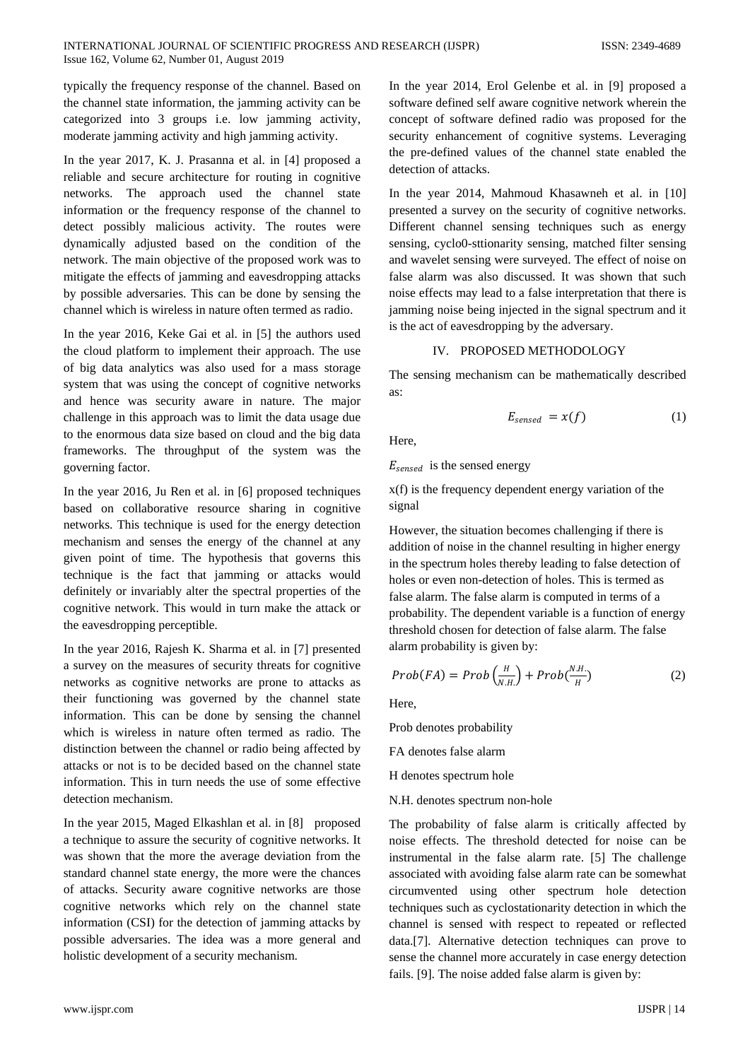typically the frequency response of the channel. Based on the channel state information, the jamming activity can be categorized into 3 groups i.e. low jamming activity, moderate jamming activity and high jamming activity.

In the year 2017, K. J. Prasanna et al. in [4] proposed a reliable and secure architecture for routing in cognitive networks. The approach used the channel state information or the frequency response of the channel to detect possibly malicious activity. The routes were dynamically adjusted based on the condition of the network. The main objective of the proposed work was to mitigate the effects of jamming and eavesdropping attacks by possible adversaries. This can be done by sensing the channel which is wireless in nature often termed as radio.

In the year 2016, Keke Gai et al. in [5] the authors used the cloud platform to implement their approach. The use of big data analytics was also used for a mass storage system that was using the concept of cognitive networks and hence was security aware in nature. The major challenge in this approach was to limit the data usage due to the enormous data size based on cloud and the big data frameworks. The throughput of the system was the governing factor.

In the year 2016, Ju Ren et al. in [6] proposed techniques based on collaborative resource sharing in cognitive networks. This technique is used for the energy detection mechanism and senses the energy of the channel at any given point of time. The hypothesis that governs this technique is the fact that jamming or attacks would definitely or invariably alter the spectral properties of the cognitive network. This would in turn make the attack or the eavesdropping perceptible.

In the year 2016, Rajesh K. Sharma et al. in [7] presented a survey on the measures of security threats for cognitive networks as cognitive networks are prone to attacks as their functioning was governed by the channel state information. This can be done by sensing the channel which is wireless in nature often termed as radio. The distinction between the channel or radio being affected by attacks or not is to be decided based on the channel state information. This in turn needs the use of some effective detection mechanism.

In the year 2015, Maged Elkashlan et al. in [8] proposed a technique to assure the security of cognitive networks. It was shown that the more the average deviation from the standard channel state energy, the more were the chances of attacks. Security aware cognitive networks are those cognitive networks which rely on the channel state information (CSI) for the detection of jamming attacks by possible adversaries. The idea was a more general and holistic development of a security mechanism.

In the year 2014, Erol Gelenbe et al. in [9] proposed a software defined self aware cognitive network wherein the concept of software defined radio was proposed for the security enhancement of cognitive systems. Leveraging the pre-defined values of the channel state enabled the detection of attacks.

In the year 2014, Mahmoud Khasawneh et al. in [10] presented a survey on the security of cognitive networks. Different channel sensing techniques such as energy sensing, cyclo0-sttionarity sensing, matched filter sensing and wavelet sensing were surveyed. The effect of noise on false alarm was also discussed. It was shown that such noise effects may lead to a false interpretation that there is jamming noise being injected in the signal spectrum and it is the act of eavesdropping by the adversary.

## IV. PROPOSED METHODOLOGY

The sensing mechanism can be mathematically described as:

$$
E_{sensed} = x(f) \tag{1}
$$

Here,

 $E_{sensed}$  is the sensed energy

x(f) is the frequency dependent energy variation of the signal

However, the situation becomes challenging if there is addition of noise in the channel resulting in higher energy in the spectrum holes thereby leading to false detection of holes or even non-detection of holes. This is termed as false alarm. The false alarm is computed in terms of a probability. The dependent variable is a function of energy threshold chosen for detection of false alarm. The false alarm probability is given by:

$$
Prob(FA) = Prob\left(\frac{H}{N.H}\right) + Prob(\frac{N.H}{H})\tag{2}
$$

Here,

Prob denotes probability

FA denotes false alarm

H denotes spectrum hole

N.H. denotes spectrum non-hole

The probability of false alarm is critically affected by noise effects. The threshold detected for noise can be instrumental in the false alarm rate. [5] The challenge associated with avoiding false alarm rate can be somewhat circumvented using other spectrum hole detection techniques such as cyclostationarity detection in which the channel is sensed with respect to repeated or reflected data.[7]. Alternative detection techniques can prove to sense the channel more accurately in case energy detection fails. [9]. The noise added false alarm is given by: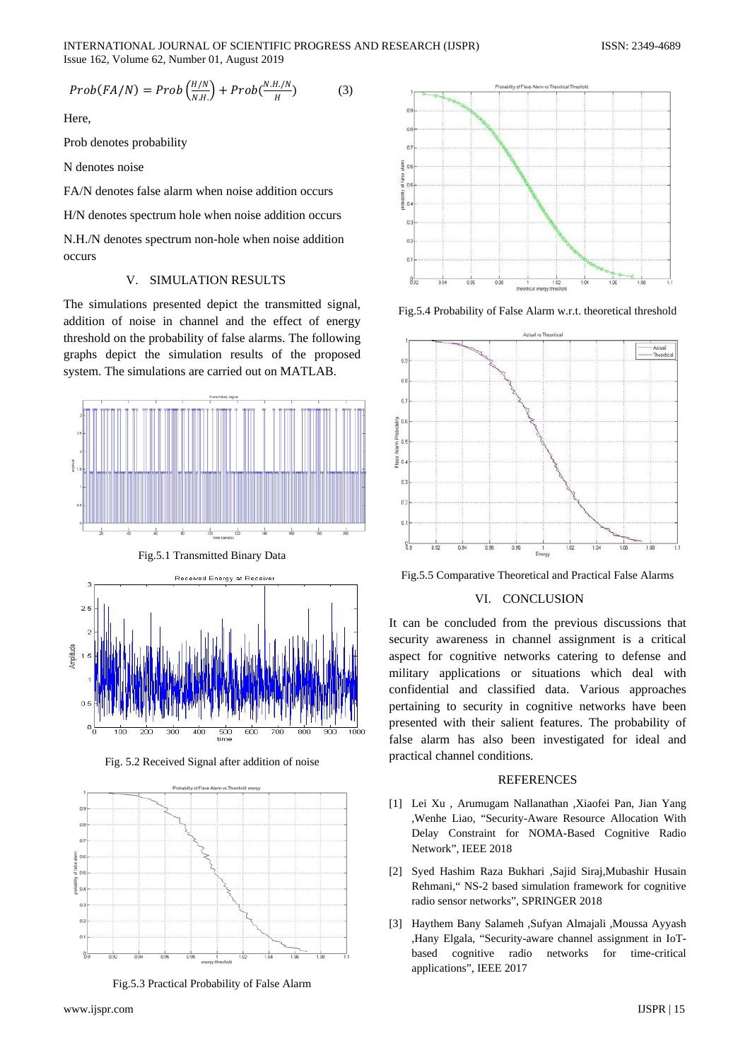INTERNATIONAL JOURNAL OF SCIENTIFIC PROGRESS AND RESEARCH (IJSPR) ISSN: 2349-4689 Issue 162, Volume 62, Number 01, August 2019

$$
Prob(FA/N) = Prob\left(\frac{H/N}{N.H.}\right) + Prob(\frac{N.H.N}{H})
$$
 (3)

Here,

Prob denotes probability

N denotes noise

FA/N denotes false alarm when noise addition occurs

H/N denotes spectrum hole when noise addition occurs

N.H./N denotes spectrum non-hole when noise addition occurs

#### V. SIMULATION RESULTS

The simulations presented depict the transmitted signal, addition of noise in channel and the effect of energy threshold on the probability of false alarms. The following graphs depict the simulation results of the proposed system. The simulations are carried out on MATLAB.



Fig. 5.2 Received Signal after addition of noise



Fig.5.3 Practical Probability of False Alarm



Fig.5.4 Probability of False Alarm w.r.t. theoretical threshold



Fig.5.5 Comparative Theoretical and Practical False Alarms

#### VI. CONCLUSION

It can be concluded from the previous discussions that security awareness in channel assignment is a critical aspect for cognitive networks catering to defense and military applications or situations which deal with confidential and classified data. Various approaches pertaining to security in cognitive networks have been presented with their salient features. The probability of false alarm has also been investigated for ideal and practical channel conditions.

#### **REFERENCES**

- [1] Lei Xu , Arumugam Nallanathan ,Xiaofei Pan, Jian Yang ,Wenhe Liao, "Security-Aware Resource Allocation With Delay Constraint for NOMA-Based Cognitive Radio Network", IEEE 2018
- [2] Syed Hashim Raza Bukhari ,Sajid Siraj,Mubashir Husain Rehmani," NS-2 based simulation framework for cognitive radio sensor networks", SPRINGER 2018
- [3] Haythem Bany Salameh ,Sufyan Almajali ,Moussa Ayyash ,Hany Elgala, "Security-aware channel assignment in IoTbased cognitive radio networks for time-critical applications", IEEE 2017